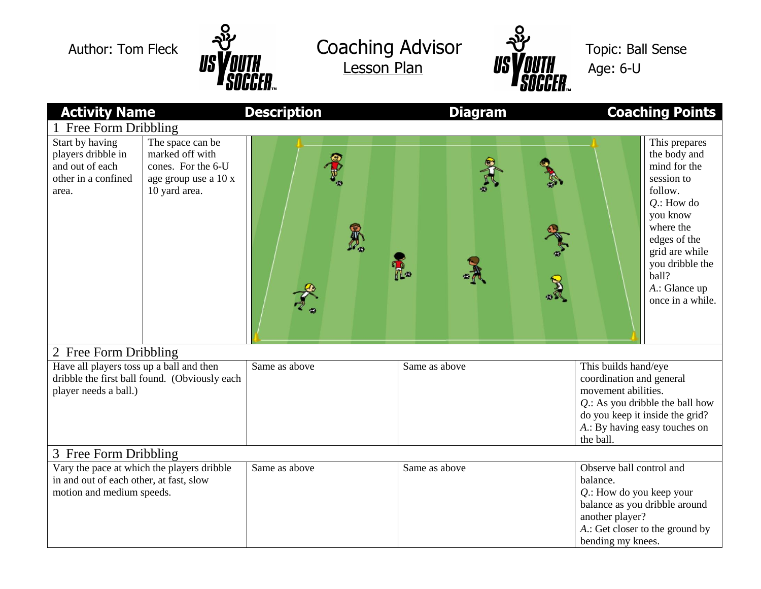

Author: Tom Fleck 22 Coaching Advisor 22 Topic: Ball Sense  $\frac{1}{8}$  US VOUTH Lesson Plan US VOUTH Age: 6-U



| <b>Activity Name</b>                                                                                               |                                                                                                    | <b>Description</b> | <b>Diagram</b> | <b>Coaching Points</b>                                                                                                                                                                                              |
|--------------------------------------------------------------------------------------------------------------------|----------------------------------------------------------------------------------------------------|--------------------|----------------|---------------------------------------------------------------------------------------------------------------------------------------------------------------------------------------------------------------------|
| 1 Free Form Dribbling                                                                                              |                                                                                                    |                    |                |                                                                                                                                                                                                                     |
| Start by having<br>players dribble in<br>and out of each<br>other in a confined<br>area.                           | The space can be<br>marked off with<br>cones. For the 6-U<br>age group use a 10 x<br>10 yard area. |                    | R.             | This prepares<br>the body and<br>mind for the<br>session to<br>follow.<br>$Q$ .: How do<br>you know<br>where the<br>edges of the<br>grid are while<br>you dribble the<br>ball?<br>A.: Glance up<br>once in a while. |
| 2 Free Form Dribbling                                                                                              |                                                                                                    |                    |                |                                                                                                                                                                                                                     |
| Have all players toss up a ball and then<br>dribble the first ball found. (Obviously each<br>player needs a ball.) |                                                                                                    | Same as above      | Same as above  | This builds hand/eye<br>coordination and general<br>movement abilities.<br>$Q$ .: As you dribble the ball how<br>do you keep it inside the grid?<br>A.: By having easy touches on<br>the ball.                      |
| 3 Free Form Dribbling                                                                                              |                                                                                                    |                    |                |                                                                                                                                                                                                                     |
| Vary the pace at which the players dribble<br>in and out of each other, at fast, slow<br>motion and medium speeds. |                                                                                                    | Same as above      | Same as above  | Observe ball control and<br>balance.<br>$Q$ .: How do you keep your<br>balance as you dribble around<br>another player?<br>A.: Get closer to the ground by<br>bending my knees.                                     |